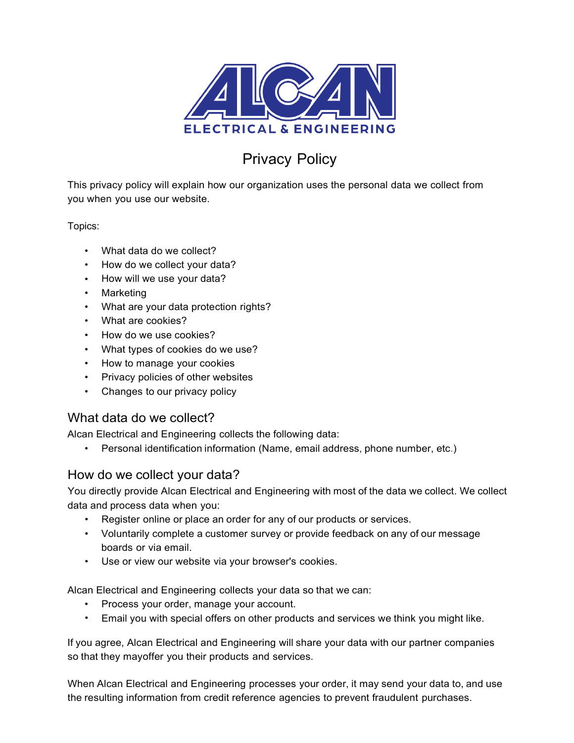

# Privacy Policy

This privacy policy will explain how our organization uses the personal data we collect from you when you use our website.

Topics:

- What data do we collect?
- How do we collect your data?
- How will we use your data?
- Marketing
- What are your data protection rights?
- What are cookies?
- How do we use cookies?
- What types of cookies do we use?
- How to manage your cookies
- Privacy policies of other websites
- Changes to our privacy policy

# What data do we collect?

Alcan Electrical and Engineering collects the following data:

• Personal identification information (Name, email address, phone number, etc.)

# How do we collect your data?

You directly provide Alcan Electrical and Engineering with most of the data we collect. We collect data and process data when you:

- Register online or place an order for any of our products or services.
- Voluntarily complete a customer survey or provide feedback on any of our message boards or via email.
- Use or view our website via your browser's cookies.

Alcan Electrical and Engineering collects your data so that we can:

- Process your order, manage your account.
- Email you with special offers on other products and services we think you might like.

If you agree, Alcan Electrical and Engineering will share your data with our partner companies so that they mayoffer you their products and services.

When Alcan Electrical and Engineering processes your order, it may send your data to, and use the resulting information from credit reference agencies to prevent fraudulent purchases.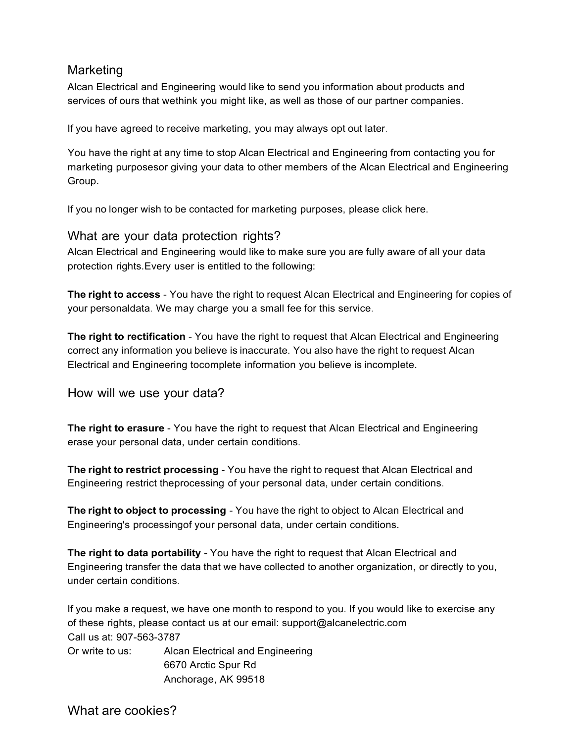### Marketing

Alcan Electrical and Engineering would like to send you information about products and services of ours that wethink you might like, as well as those of our partner companies.

If you have agreed to receive marketing, you may always opt out later.

You have the right at any time to stop Alcan Electrical and Engineering from contacting you for marketing purposesor giving your data to other members of the Alcan Electrical and Engineering Group.

If you no longer wish to be contacted for marketing purposes, please click here.

### What are your data protection rights?

Alcan Electrical and Engineering would like to make sure you are fully aware of all your data protection rights.Every user is entitled to the following:

**The right to access** - You have the right to request Alcan Electrical and Engineering for copies of your personaldata. We may charge you a small fee for this service.

**The right to rectification** - You have the right to request that Alcan Electrical and Engineering correct any information you believe is inaccurate. You also have the right to request Alcan Electrical and Engineering tocomplete information you believe is incomplete.

How will we use your data?

**The right to erasure** - You have the right to request that Alcan Electrical and Engineering erase your personal data, under certain conditions.

**The right to restrict processing** - You have the right to request that Alcan Electrical and Engineering restrict theprocessing of your personal data, under certain conditions.

**The right to object to processing** - You have the right to object to Alcan Electrical and Engineering's processingof your personal data, under certain conditions.

**The right to data portability** - You have the right to request that Alcan Electrical and Engineering transfer the data that we have collected to another organization, or directly to you, under certain conditions.

If you make a request, we have one month to respond to you. If you would like to exercise any of these rights, please contact us at our email: support@alcanelectric.com Call us at: 907-563-3787

Or write to us: Alcan Electrical and Engineering 6670 Arctic Spur Rd Anchorage, AK 99518

What are cookies?